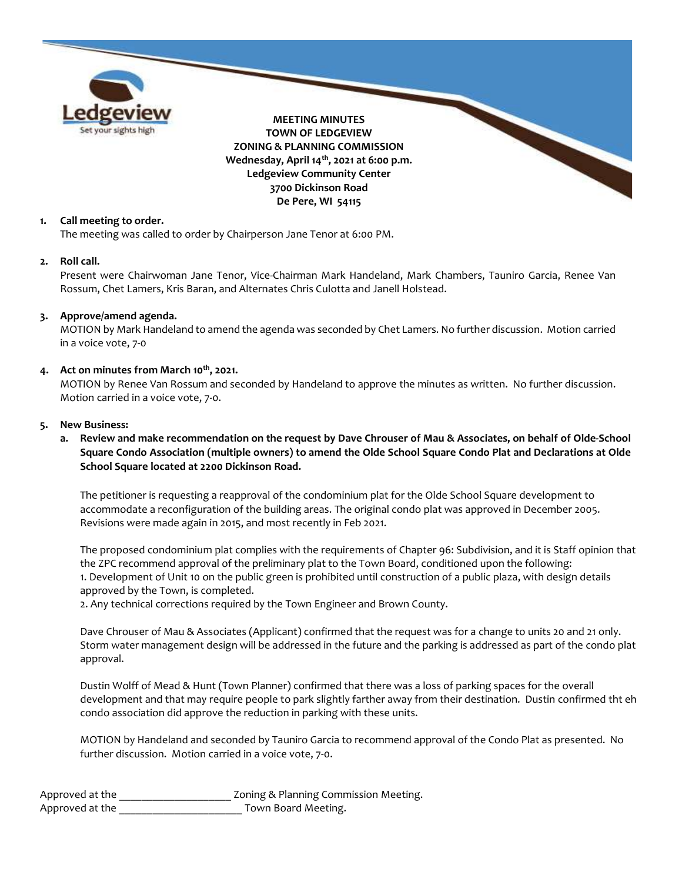

### 1. Call meeting to order.

The meeting was called to order by Chairperson Jane Tenor at 6:00 PM.

#### 2. Roll call.

Present were Chairwoman Jane Tenor, Vice-Chairman Mark Handeland, Mark Chambers, Tauniro Garcia, Renee Van Rossum, Chet Lamers, Kris Baran, and Alternates Chris Culotta and Janell Holstead.

### 3. Approve/amend agenda.

MOTION by Mark Handeland to amend the agenda was seconded by Chet Lamers. No further discussion. Motion carried in a voice vote, 7-0

## 4. Act on minutes from March 10<sup>th</sup>, 2021.

MOTION by Renee Van Rossum and seconded by Handeland to approve the minutes as written. No further discussion. Motion carried in a voice vote, 7-0.

#### 5. New Business:

a. Review and make recommendation on the request by Dave Chrouser of Mau & Associates, on behalf of Olde-School Square Condo Association (multiple owners) to amend the Olde School Square Condo Plat and Declarations at Olde School Square located at 2200 Dickinson Road.

The petitioner is requesting a reapproval of the condominium plat for the Olde School Square development to accommodate a reconfiguration of the building areas. The original condo plat was approved in December 2005. Revisions were made again in 2015, and most recently in Feb 2021.

The proposed condominium plat complies with the requirements of Chapter 96: Subdivision, and it is Staff opinion that the ZPC recommend approval of the preliminary plat to the Town Board, conditioned upon the following: 1. Development of Unit 10 on the public green is prohibited until construction of a public plaza, with design details approved by the Town, is completed.

2. Any technical corrections required by the Town Engineer and Brown County.

Dave Chrouser of Mau & Associates (Applicant) confirmed that the request was for a change to units 20 and 21 only. Storm water management design will be addressed in the future and the parking is addressed as part of the condo plat approval.

Dustin Wolff of Mead & Hunt (Town Planner) confirmed that there was a loss of parking spaces for the overall development and that may require people to park slightly farther away from their destination. Dustin confirmed tht eh condo association did approve the reduction in parking with these units.

MOTION by Handeland and seconded by Tauniro Garcia to recommend approval of the Condo Plat as presented. No further discussion. Motion carried in a voice vote, 7-0.

| Approved at the | Zoning & Planning Commission Meeting. |
|-----------------|---------------------------------------|
| Approved at the | Town Board Meeting.                   |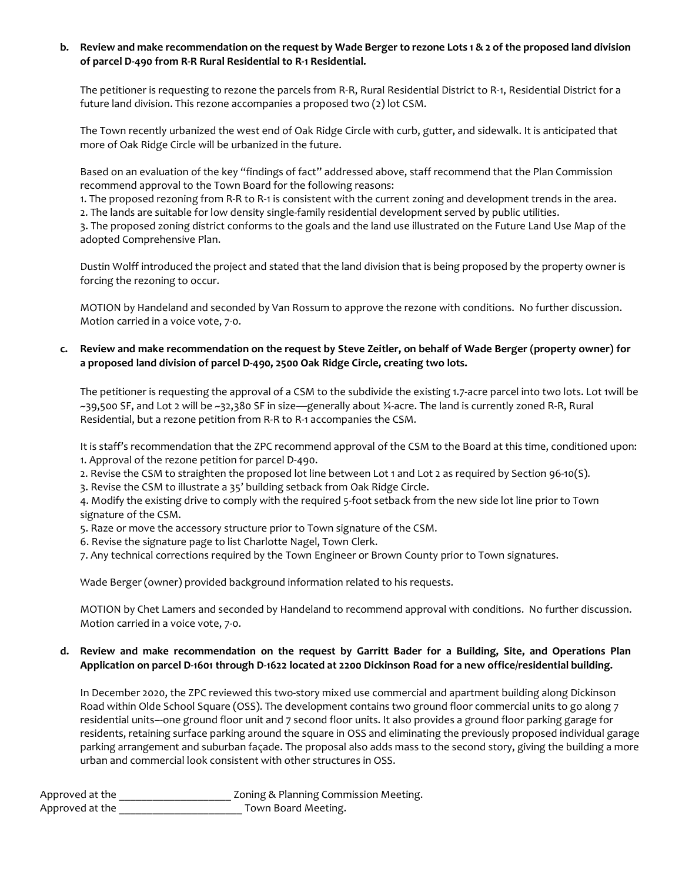# b. Review and make recommendation on the request by Wade Berger to rezone Lots 1 & 2 of the proposed land division of parcel D-490 from R-R Rural Residential to R-1 Residential.

The petitioner is requesting to rezone the parcels from R-R, Rural Residential District to R-1, Residential District for a future land division. This rezone accompanies a proposed two (2) lot CSM.

The Town recently urbanized the west end of Oak Ridge Circle with curb, gutter, and sidewalk. It is anticipated that more of Oak Ridge Circle will be urbanized in the future.

Based on an evaluation of the key "findings of fact" addressed above, staff recommend that the Plan Commission recommend approval to the Town Board for the following reasons:

1. The proposed rezoning from R-R to R-1 is consistent with the current zoning and development trends in the area.

2. The lands are suitable for low density single-family residential development served by public utilities.

3. The proposed zoning district conforms to the goals and the land use illustrated on the Future Land Use Map of the adopted Comprehensive Plan.

Dustin Wolff introduced the project and stated that the land division that is being proposed by the property owner is forcing the rezoning to occur.

MOTION by Handeland and seconded by Van Rossum to approve the rezone with conditions. No further discussion. Motion carried in a voice vote, 7-0.

# c. Review and make recommendation on the request by Steve Zeitler, on behalf of Wade Berger (property owner) for a proposed land division of parcel D-490, 2500 Oak Ridge Circle, creating two lots.

The petitioner is requesting the approval of a CSM to the subdivide the existing 1.7-acre parcel into two lots. Lot 1will be ~39,500 SF, and Lot 2 will be ~32,380 SF in size—generally about ¾-acre. The land is currently zoned R-R, Rural Residential, but a rezone petition from R-R to R-1 accompanies the CSM.

It is staff's recommendation that the ZPC recommend approval of the CSM to the Board at this time, conditioned upon: 1. Approval of the rezone petition for parcel D-490.

2. Revise the CSM to straighten the proposed lot line between Lot 1 and Lot 2 as required by Section 96-10(S).

3. Revise the CSM to illustrate a 35' building setback from Oak Ridge Circle.

4. Modify the existing drive to comply with the required 5-foot setback from the new side lot line prior to Town signature of the CSM.

5. Raze or move the accessory structure prior to Town signature of the CSM.

6. Revise the signature page to list Charlotte Nagel, Town Clerk.

7. Any technical corrections required by the Town Engineer or Brown County prior to Town signatures.

Wade Berger (owner) provided background information related to his requests.

MOTION by Chet Lamers and seconded by Handeland to recommend approval with conditions. No further discussion. Motion carried in a voice vote, 7-0.

## d. Review and make recommendation on the request by Garritt Bader for a Building, Site, and Operations Plan Application on parcel D-1601 through D-1622 located at 2200 Dickinson Road for a new office/residential building.

In December 2020, the ZPC reviewed this two-story mixed use commercial and apartment building along Dickinson Road within Olde School Square (OSS). The development contains two ground floor commercial units to go along 7 residential units–-one ground floor unit and 7 second floor units. It also provides a ground floor parking garage for residents, retaining surface parking around the square in OSS and eliminating the previously proposed individual garage parking arrangement and suburban façade. The proposal also adds mass to the second story, giving the building a more urban and commercial look consistent with other structures in OSS.

| Approved at the | Zoning & Planning Commission Meeting. |
|-----------------|---------------------------------------|
| Approved at the | Town Board Meeting.                   |